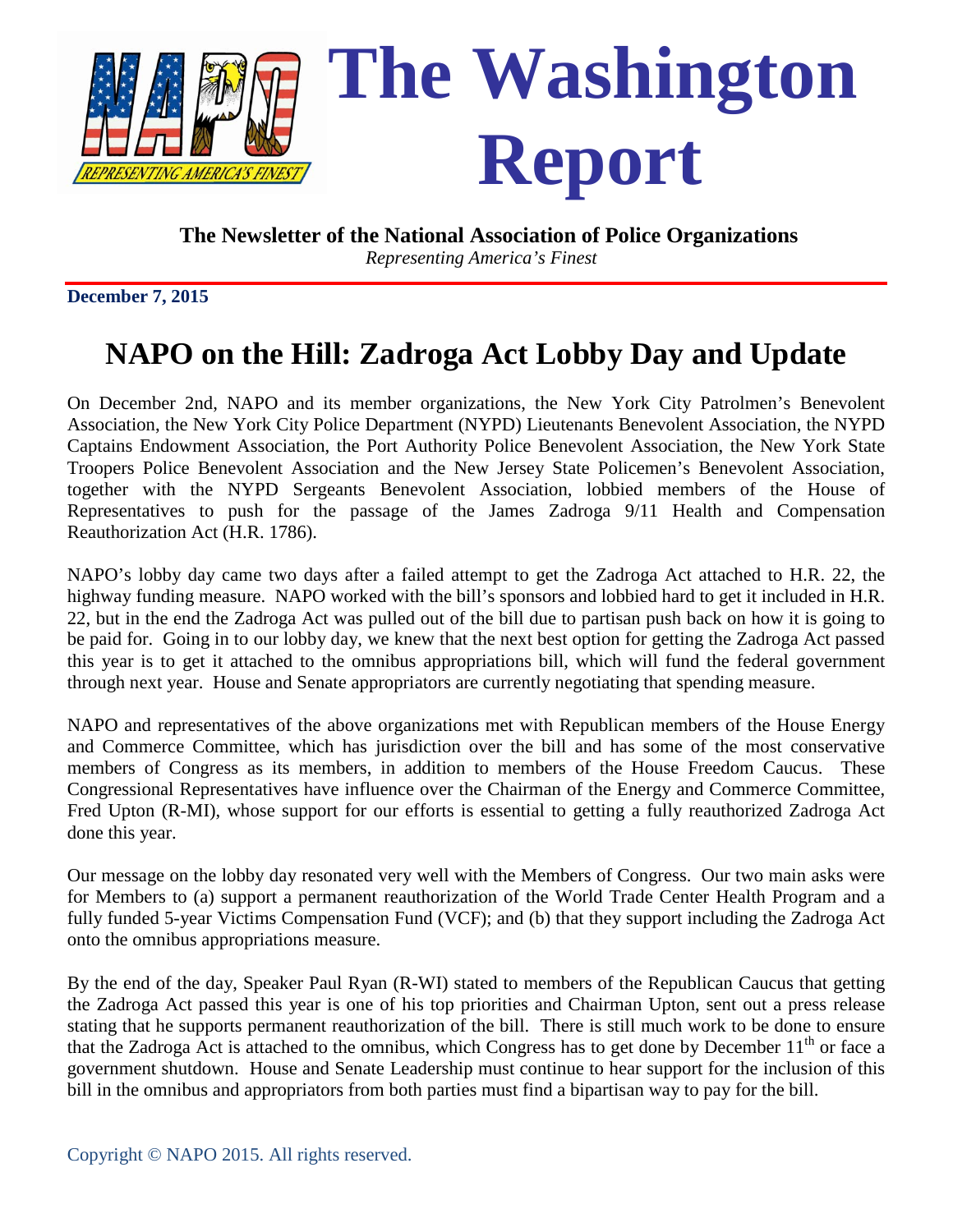

*Representing America's Finest*

**December 7, 2015** 

# **NAPO on the Hill: Zadroga Act Lobby Day and Update**

On December 2nd, NAPO and its member organizations, the New York City Patrolmen's Benevolent Association, the New York City Police Department (NYPD) Lieutenants Benevolent Association, the NYPD Captains Endowment Association, the Port Authority Police Benevolent Association, the New York State Troopers Police Benevolent Association and the New Jersey State Policemen's Benevolent Association, together with the NYPD Sergeants Benevolent Association, lobbied members of the House of Representatives to push for the passage of the James Zadroga 9/11 Health and Compensation Reauthorization Act (H.R. 1786).

NAPO's lobby day came two days after a failed attempt to get the Zadroga Act attached to H.R. 22, the highway funding measure. NAPO worked with the bill's sponsors and lobbied hard to get it included in H.R. 22, but in the end the Zadroga Act was pulled out of the bill due to partisan push back on how it is going to be paid for. Going in to our lobby day, we knew that the next best option for getting the Zadroga Act passed this year is to get it attached to the omnibus appropriations bill, which will fund the federal government through next year. House and Senate appropriators are currently negotiating that spending measure.

NAPO and representatives of the above organizations met with Republican members of the House Energy and Commerce Committee, which has jurisdiction over the bill and has some of the most conservative members of Congress as its members, in addition to members of the House Freedom Caucus. These Congressional Representatives have influence over the Chairman of the Energy and Commerce Committee, Fred Upton (R-MI), whose support for our efforts is essential to getting a fully reauthorized Zadroga Act done this year.

Our message on the lobby day resonated very well with the Members of Congress. Our two main asks were for Members to (a) support a permanent reauthorization of the World Trade Center Health Program and a fully funded 5-year Victims Compensation Fund (VCF); and (b) that they support including the Zadroga Act onto the omnibus appropriations measure.

By the end of the day, Speaker Paul Ryan (R-WI) stated to members of the Republican Caucus that getting the Zadroga Act passed this year is one of his top priorities and Chairman Upton, sent out a press release stating that he supports permanent reauthorization of the bill. There is still much work to be done to ensure that the Zadroga Act is attached to the omnibus, which Congress has to get done by December  $11<sup>th</sup>$  or face a government shutdown. House and Senate Leadership must continue to hear support for the inclusion of this bill in the omnibus and appropriators from both parties must find a bipartisan way to pay for the bill.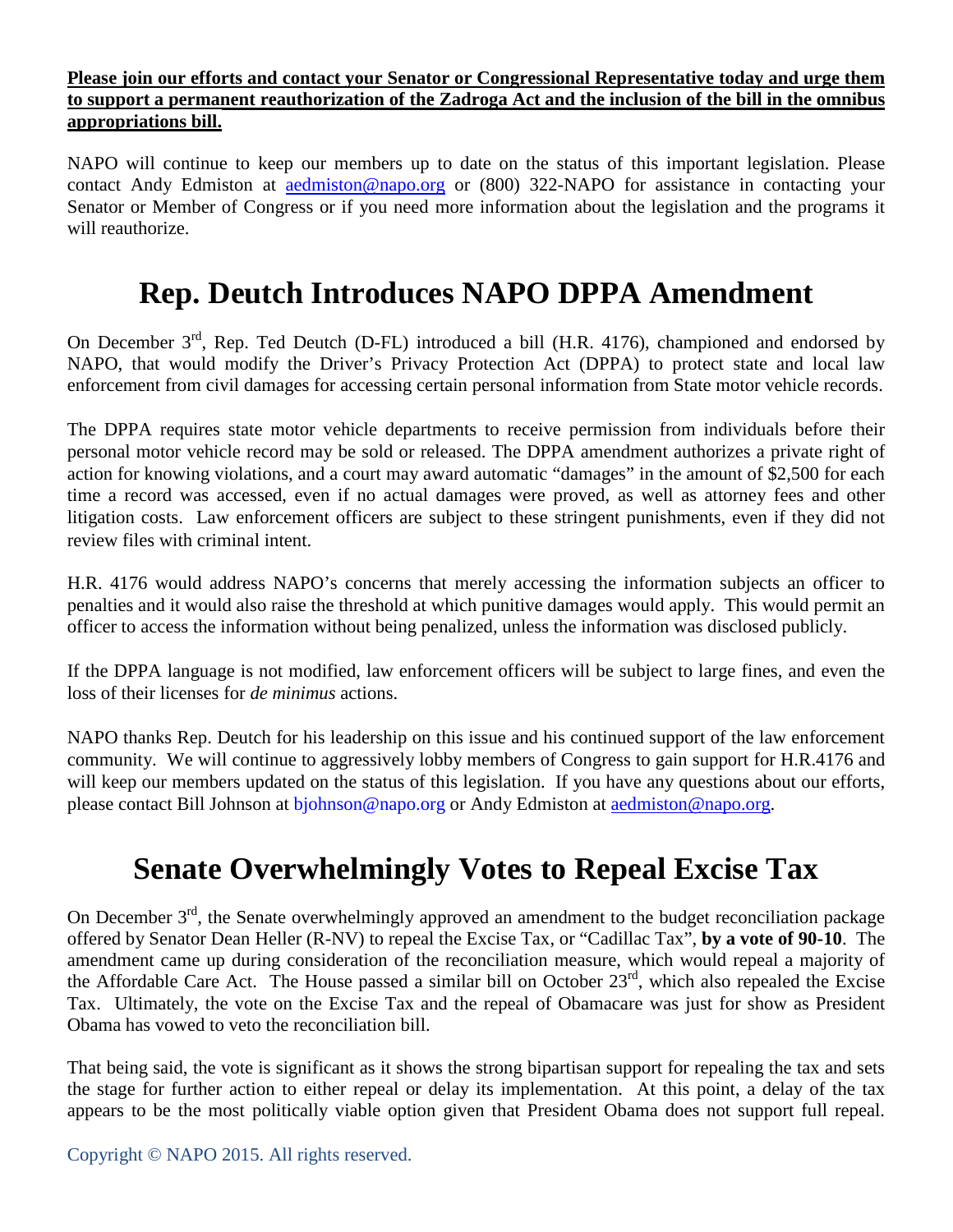### **Please join our efforts and contact your Senator or Congressional Representative today and urge them to support a permanent reauthorization of the Zadroga Act and the inclusion of the bill in the omnibus appropriations bill.**

NAPO will continue to keep our members up to date on the status of this important legislation. Please contact Andy Edmiston at [aedmiston@napo.org](mailto:aedmiston@napo.org) or (800) 322-NAPO for assistance in contacting your Senator or Member of Congress or if you need more information about the legislation and the programs it will reauthorize.

## **Rep. Deutch Introduces NAPO DPPA Amendment**

On December 3<sup>rd</sup>, Rep. Ted Deutch (D-FL) introduced a bill (H.R. 4176), championed and endorsed by NAPO, that would modify the Driver's Privacy Protection Act (DPPA) to protect state and local law enforcement from civil damages for accessing certain personal information from State motor vehicle records.

The DPPA requires state motor vehicle departments to receive permission from individuals before their personal motor vehicle record may be sold or released. The DPPA amendment authorizes a private right of action for knowing violations, and a court may award automatic "damages" in the amount of \$2,500 for each time a record was accessed, even if no actual damages were proved, as well as attorney fees and other litigation costs. Law enforcement officers are subject to these stringent punishments, even if they did not review files with criminal intent.

H.R. 4176 would address NAPO's concerns that merely accessing the information subjects an officer to penalties and it would also raise the threshold at which punitive damages would apply. This would permit an officer to access the information without being penalized, unless the information was disclosed publicly.

If the DPPA language is not modified, law enforcement officers will be subject to large fines, and even the loss of their licenses for *de minimus* actions.

NAPO thanks Rep. Deutch for his leadership on this issue and his continued support of the law enforcement community. We will continue to aggressively lobby members of Congress to gain support for H.R.4176 and will keep our members updated on the status of this legislation. If you have any questions about our efforts, please contact Bill Johnson at [bjohnson@napo.org](mailto:bjohnson@napo.org) or Andy Edmiston at [aedmiston@napo.org.](mailto:aedmiston@napo.org)

# **Senate Overwhelmingly Votes to Repeal Excise Tax**

On December  $3<sup>rd</sup>$ , the Senate overwhelmingly approved an amendment to the budget reconciliation package offered by Senator Dean Heller (R-NV) to repeal the Excise Tax, or "Cadillac Tax", **by a vote of 90-10**. The amendment came up during consideration of the reconciliation measure, which would repeal a majority of the Affordable Care Act. The House passed a similar bill on October 23<sup>rd</sup>, which also repealed the Excise Tax. Ultimately, the vote on the Excise Tax and the repeal of Obamacare was just for show as President Obama has vowed to veto the reconciliation bill.

That being said, the vote is significant as it shows the strong bipartisan support for repealing the tax and sets the stage for further action to either repeal or delay its implementation. At this point, a delay of the tax appears to be the most politically viable option given that President Obama does not support full repeal.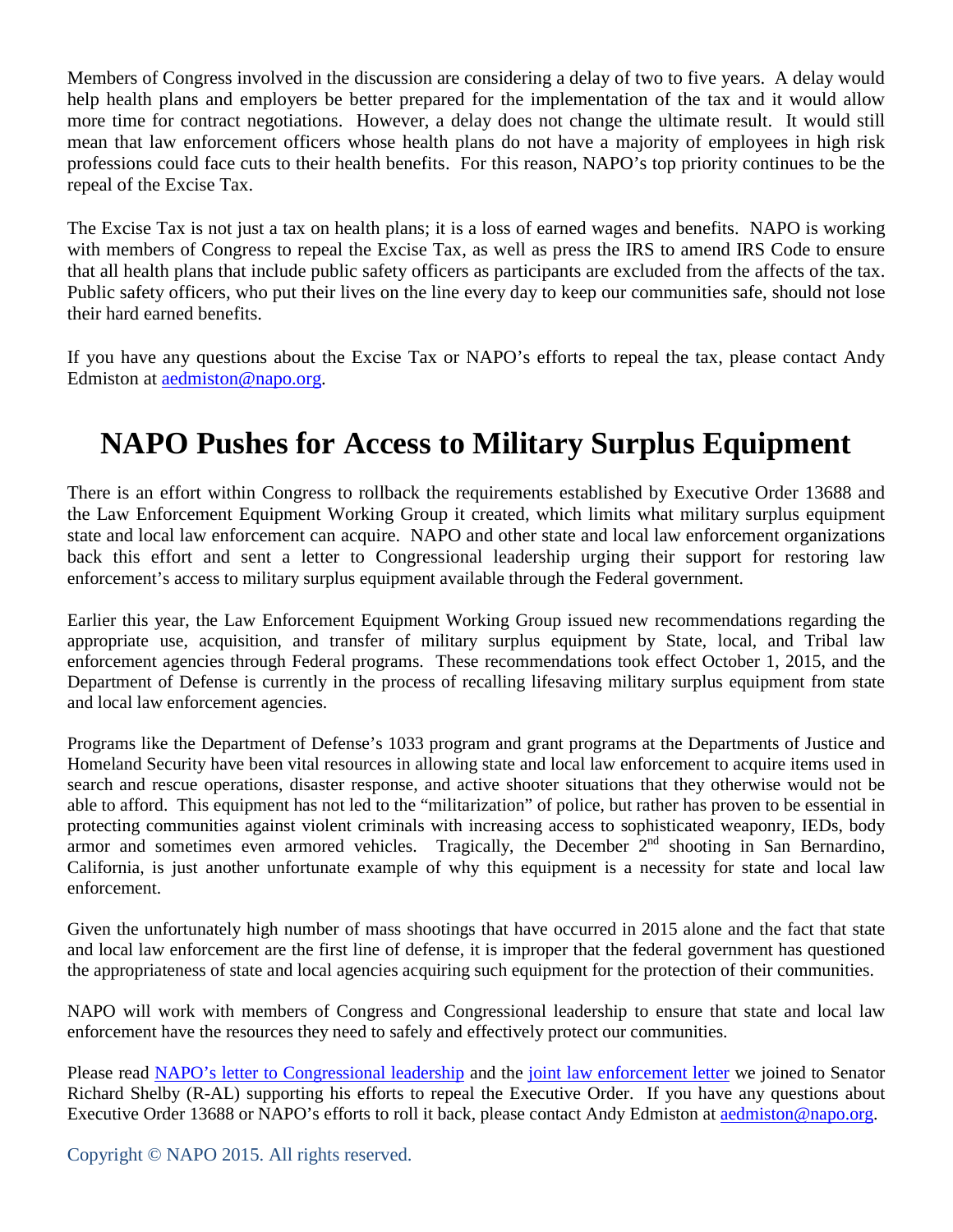Members of Congress involved in the discussion are considering a delay of two to five years. A delay would help health plans and employers be better prepared for the implementation of the tax and it would allow more time for contract negotiations. However, a delay does not change the ultimate result. It would still mean that law enforcement officers whose health plans do not have a majority of employees in high risk professions could face cuts to their health benefits. For this reason, NAPO's top priority continues to be the repeal of the Excise Tax.

The Excise Tax is not just a tax on health plans; it is a loss of earned wages and benefits. NAPO is working with members of Congress to repeal the Excise Tax, as well as press the IRS to amend IRS Code to ensure that all health plans that include public safety officers as participants are excluded from the affects of the tax. Public safety officers, who put their lives on the line every day to keep our communities safe, should not lose their hard earned benefits.

If you have any questions about the Excise Tax or NAPO's efforts to repeal the tax, please contact Andy Edmiston at [aedmiston@napo.org.](mailto:aedmiston@napo.org)

## **NAPO Pushes for Access to Military Surplus Equipment**

There is an effort within Congress to rollback the requirements established by Executive Order 13688 and the Law Enforcement Equipment Working Group it created, which limits what military surplus equipment state and local law enforcement can acquire. NAPO and other state and local law enforcement organizations back this effort and sent a letter to Congressional leadership urging their support for restoring law enforcement's access to military surplus equipment available through the Federal government.

Earlier this year, the Law Enforcement Equipment Working Group issued new recommendations regarding the appropriate use, acquisition, and transfer of military surplus equipment by State, local, and Tribal law enforcement agencies through Federal programs. These recommendations took effect October 1, 2015, and the Department of Defense is currently in the process of recalling lifesaving military surplus equipment from state and local law enforcement agencies.

Programs like the Department of Defense's 1033 program and grant programs at the Departments of Justice and Homeland Security have been vital resources in allowing state and local law enforcement to acquire items used in search and rescue operations, disaster response, and active shooter situations that they otherwise would not be able to afford. This equipment has not led to the "militarization" of police, but rather has proven to be essential in protecting communities against violent criminals with increasing access to sophisticated weaponry, IEDs, body armor and sometimes even armored vehicles. Tragically, the December 2<sup>nd</sup> shooting in San Bernardino, California, is just another unfortunate example of why this equipment is a necessity for state and local law enforcement.

Given the unfortunately high number of mass shootings that have occurred in 2015 alone and the fact that state and local law enforcement are the first line of defense, it is improper that the federal government has questioned the appropriateness of state and local agencies acquiring such equipment for the protection of their communities.

NAPO will work with members of Congress and Congressional leadership to ensure that state and local law enforcement have the resources they need to safely and effectively protect our communities.

Please read NAPO's letter to Congressional leadership and the joint law enforcement letter we joined to Senator Richard Shelby (R-AL) supporting his efforts to repeal the Executive Order. If you have any questions about Executive Order 13688 or NAPO's efforts to roll it back, please contact Andy Edmiston at [aedmiston@napo.org.](mailto:aedmiston@napo.org)

Copyright © NAPO 2015. All rights reserved.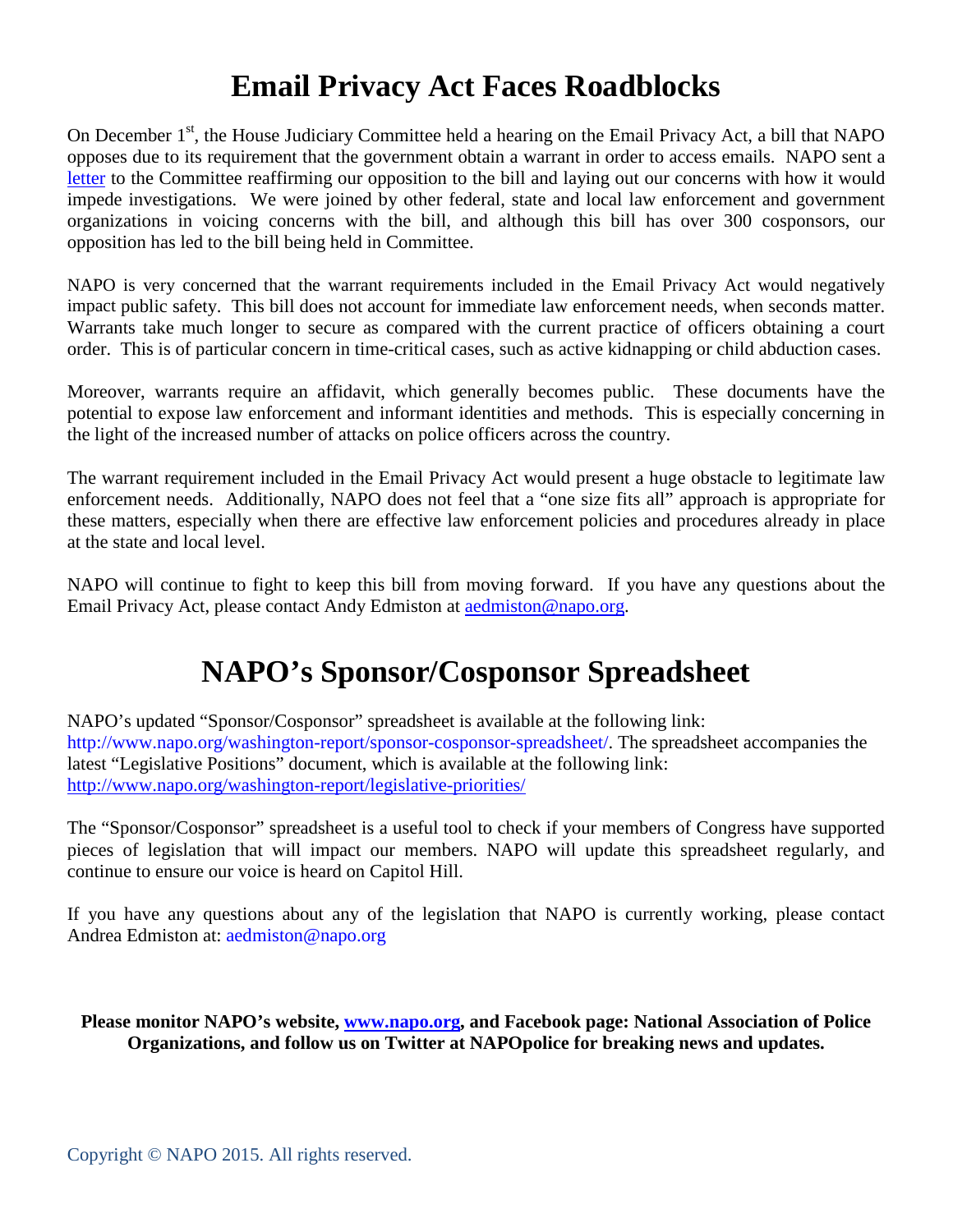## **Email Privacy Act Faces Roadblocks**

On December 1<sup>st</sup>, the House Judiciary Committee held a hearing on the Email Privacy Act, a bill that NAPO opposes due to its requirement that the government obtain a warrant in order to access emails. NAPO sent a letter to the Committee reaffirming our opposition to the bill and laying out our concerns with how it would impede investigations. We were joined by other federal, state and local law enforcement and government organizations in voicing concerns with the bill, and although this bill has over 300 cosponsors, our opposition has led to the bill being held in Committee.

NAPO is very concerned that the warrant requirements included in the Email Privacy Act would negatively impact public safety. This bill does not account for immediate law enforcement needs, when seconds matter. Warrants take much longer to secure as compared with the current practice of officers obtaining a court order. This is of particular concern in time-critical cases, such as active kidnapping or child abduction cases.

Moreover, warrants require an affidavit, which generally becomes public. These documents have the potential to expose law enforcement and informant identities and methods. This is especially concerning in the light of the increased number of attacks on police officers across the country.

The warrant requirement included in the Email Privacy Act would present a huge obstacle to legitimate law enforcement needs. Additionally, NAPO does not feel that a "one size fits all" approach is appropriate for these matters, especially when there are effective law enforcement policies and procedures already in place at the state and local level.

NAPO will continue to fight to keep this bill from moving forward. If you have any questions about the Email Privacy Act, please contact Andy Edmiston at [aedmiston@napo.org.](mailto:aedmiston@napo.org)

## **NAPO's Sponsor/Cosponsor Spreadsheet**

NAPO's updated "Sponsor/Cosponsor" spreadsheet is available at the following link: http://www.napo.org/washington-report/sponsor-cosponsor-spreadsheet/. The spreadsheet accompanies the latest "Legislative Positions" document, which is available at the following link: <http://www.napo.org/washington-report/legislative-priorities/>

The "Sponsor/Cosponsor" spreadsheet is a useful tool to check if your members of Congress have supported pieces of legislation that will impact our members. NAPO will update this spreadsheet regularly, and continue to ensure our voice is heard on Capitol Hill.

If you have any questions about any of the legislation that NAPO is currently working, please contact Andrea Edmiston at: aedmiston@napo.org

**Please monitor NAPO's website, [www.napo.org,](http://www.napo.org/) and Facebook page: National Association of Police Organizations, and follow us on Twitter at NAPOpolice for breaking news and updates.**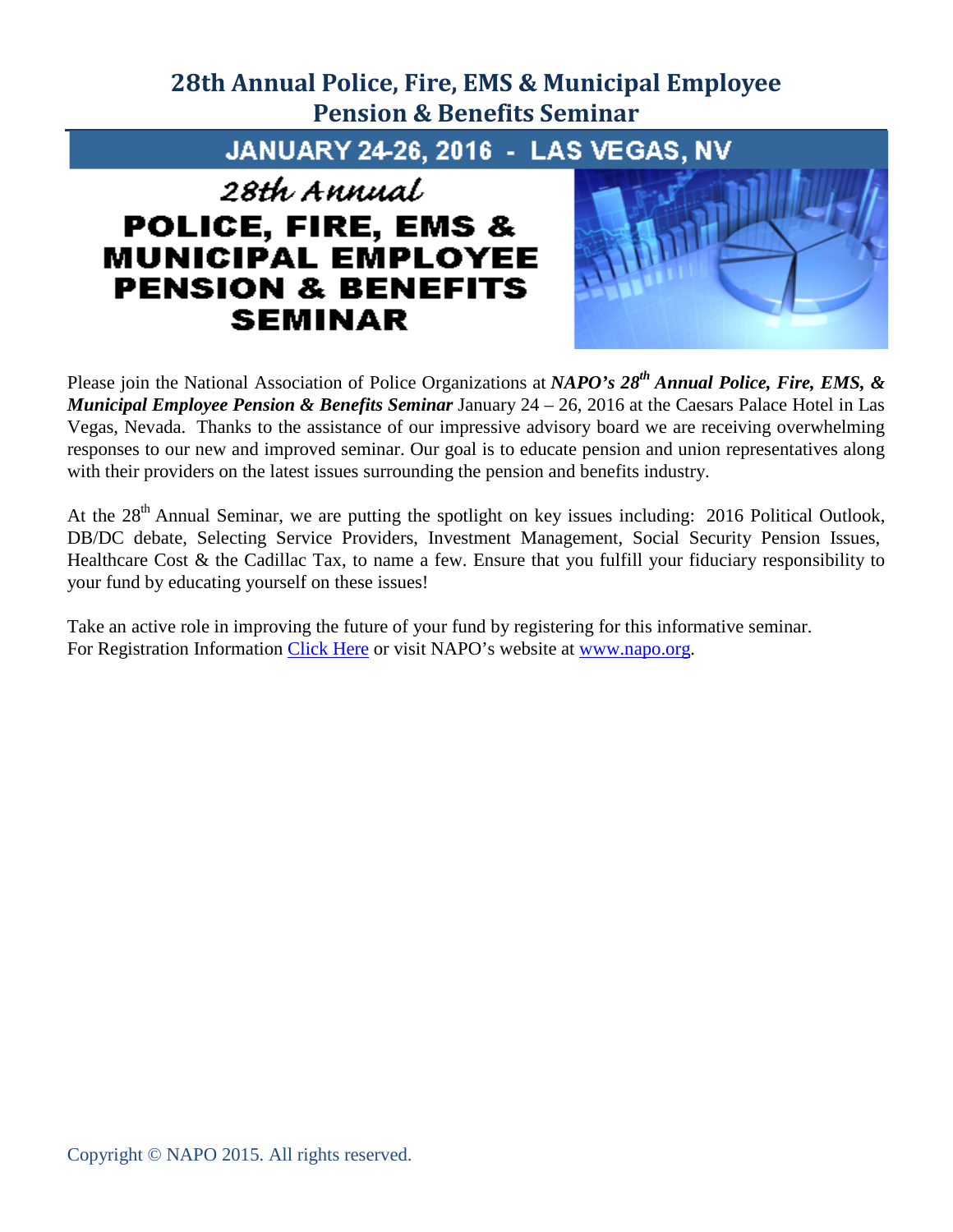### **28th Annual Police, Fire, EMS & Municipal Employee Pension & Benefits Seminar**

JANUARY 24-26, 2016 - LAS VEGAS, NV

### 28th Annual **POLICE, FIRE, EMS & MUNICIPAL EMPLOYEE PENSION & BENEFITS SEMINAR**



Please join the National Association of Police Organizations at *NAPO's 28th Annual Police, Fire, EMS, & Municipal Employee Pension & Benefits Seminar* January 24 – 26, 2016 at the Caesars Palace Hotel in Las Vegas, Nevada. Thanks to the assistance of our impressive advisory board we are receiving overwhelming responses to our new and improved seminar. Our goal is to educate pension and union representatives along with their providers on the latest issues surrounding the pension and benefits industry.

At the 28<sup>th</sup> Annual Seminar, we are putting the spotlight on key issues including: 2016 Political Outlook, DB/DC debate, Selecting Service Providers, Investment Management, Social Security Pension Issues, Healthcare Cost & the Cadillac Tax, to name a few. Ensure that you fulfill your fiduciary responsibility to your fund by educating yourself on these issues!

Take an active role in improving the future of your fund by registering for this informative seminar. For Registration Information [Click Here](http://www.napo.org/index.php/download_file/view/2040/517/) or visit NAPO's website at [www.napo.org.](http://www.napo.org/)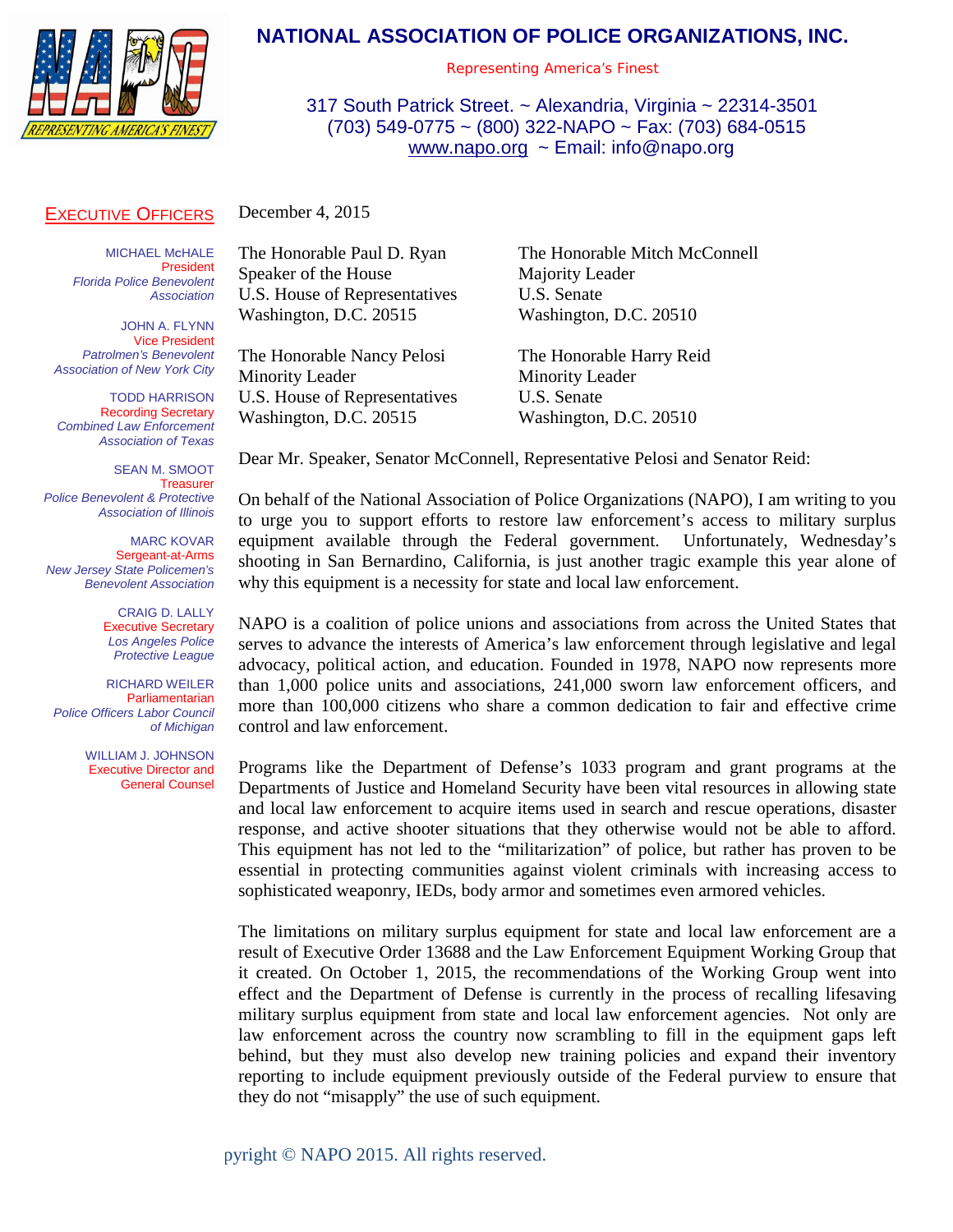

### **NATIONAL ASSOCIATION OF POLICE ORGANIZATIONS, INC.**

*Representing America's Finest*

317 South Patrick Street. ~ Alexandria, Virginia ~ 22314-3501 (703) 549-0775 ~ (800) 322-NAPO ~ Fax: (703) 684-0515 [www.napo.org](http://www.napo.org/) ~ Email: info@napo.org

#### EXECUTIVE OFFICERS

December 4, 2015

MICHAEL M**C**HALE President *Florida Police Benevolent Association*

JOHN A. FLYNN Vice President *Patrolmen's Benevolent Association of New York City*

TODD HARRISON Recording Secretary *Combined Law Enforcement Association of Texas*

SEAN M. SMOOT **Treasurer** *Police Benevolent & Protective Association of Illinois*

MARC KOVAR Sergeant-at-Arms *New Jersey State Policemen's Benevolent Association*

> CRAIG D. LALLY Executive Secretary *Los Angeles Police Protective League*

RICHARD WEILER Parliamentarian *Police Officers Labor Council of Michigan*

> WILLIAM J. JOHNSON Executive Director and General Counsel

Speaker of the House Majority Leader U.S. House of Representatives U.S. Senate Washington, D.C. 20515 Washington, D.C. 20510

The Honorable Nancy Pelosi The Honorable Harry Reid Minority Leader Minority Leader U.S. House of Representatives U.S. Senate Washington, D.C. 20515 Washington, D.C. 20510

The Honorable Paul D. Ryan The Honorable Mitch McConnell

Dear Mr. Speaker, Senator McConnell, Representative Pelosi and Senator Reid:

On behalf of the National Association of Police Organizations (NAPO), I am writing to you to urge you to support efforts to restore law enforcement's access to military surplus equipment available through the Federal government. Unfortunately, Wednesday's shooting in San Bernardino, California, is just another tragic example this year alone of why this equipment is a necessity for state and local law enforcement.

NAPO is a coalition of police unions and associations from across the United States that serves to advance the interests of America's law enforcement through legislative and legal advocacy, political action, and education. Founded in 1978, NAPO now represents more than 1,000 police units and associations, 241,000 sworn law enforcement officers, and more than 100,000 citizens who share a common dedication to fair and effective crime control and law enforcement.

Programs like the Department of Defense's 1033 program and grant programs at the Departments of Justice and Homeland Security have been vital resources in allowing state and local law enforcement to acquire items used in search and rescue operations, disaster response, and active shooter situations that they otherwise would not be able to afford. This equipment has not led to the "militarization" of police, but rather has proven to be essential in protecting communities against violent criminals with increasing access to sophisticated weaponry, IEDs, body armor and sometimes even armored vehicles.

The limitations on military surplus equipment for state and local law enforcement are a result of Executive Order 13688 and the Law Enforcement Equipment Working Group that it created. On October 1, 2015, the recommendations of the Working Group went into effect and the Department of Defense is currently in the process of recalling lifesaving military surplus equipment from state and local law enforcement agencies. Not only are law enforcement across the country now scrambling to fill in the equipment gaps left behind, but they must also develop new training policies and expand their inventory reporting to include equipment previously outside of the Federal purview to ensure that they do not "misapply" the use of such equipment.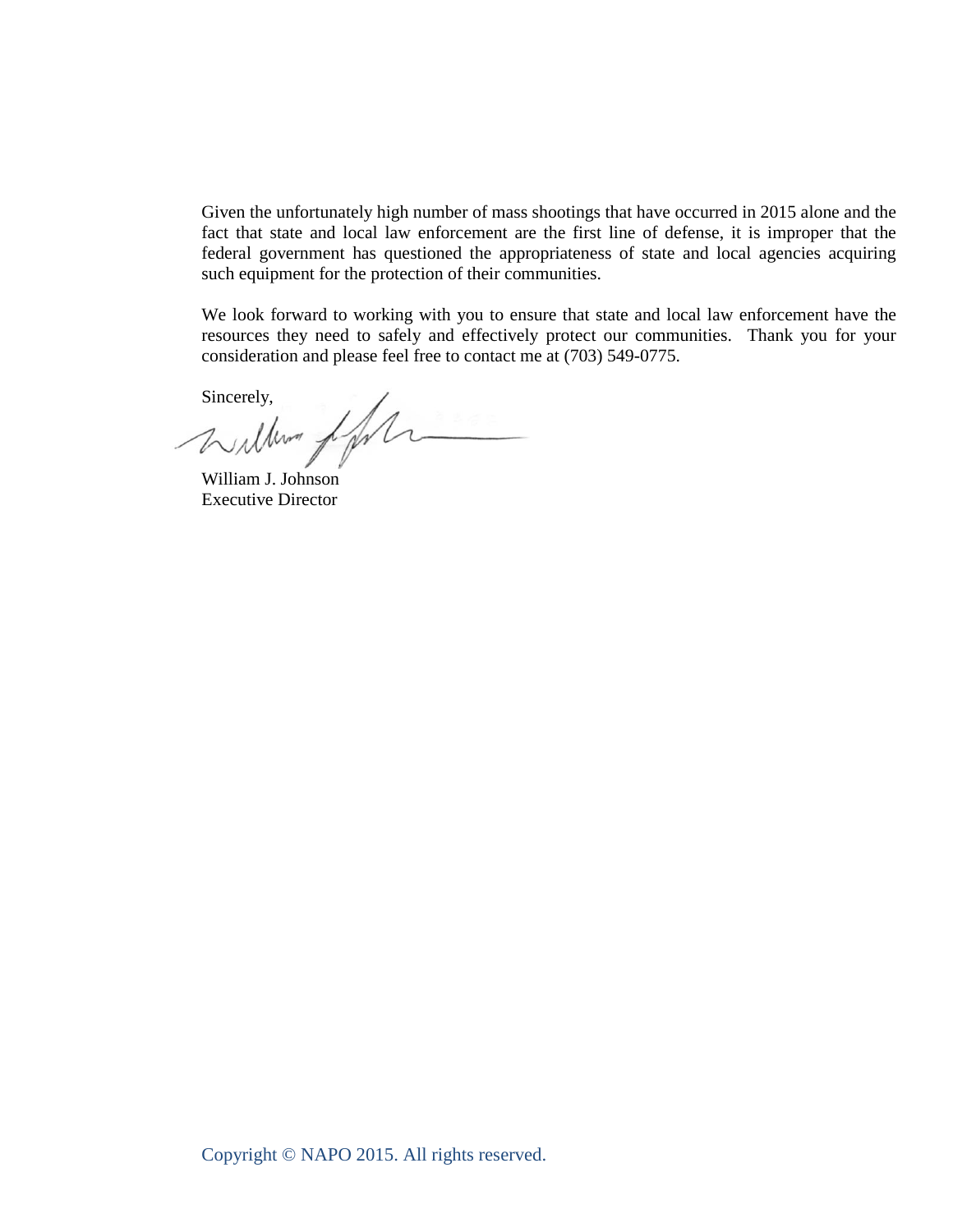Given the unfortunately high number of mass shootings that have occurred in 2015 alone and the fact that state and local law enforcement are the first line of defense, it is improper that the federal government has questioned the appropriateness of state and local agencies acquiring such equipment for the protection of their communities.

We look forward to working with you to ensure that state and local law enforcement have the resources they need to safely and effectively protect our communities. Thank you for your consideration and please feel free to contact me at (703) 549-0775.

Sincerely,

William J. Johnson Executive Director